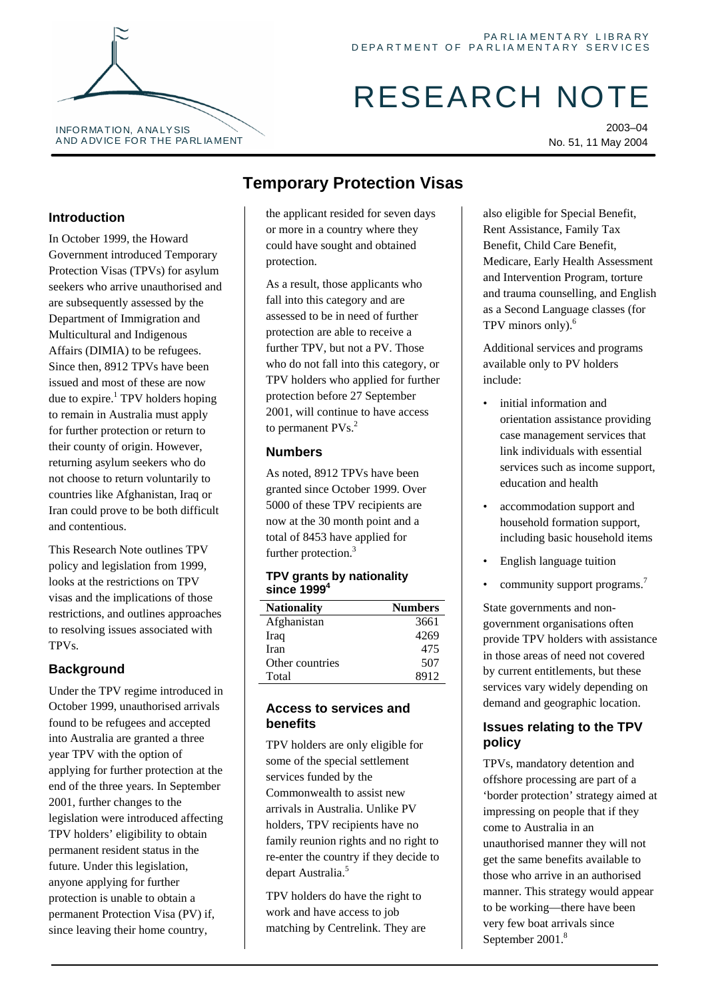# RESEARCH NOTE

2003–04 No. 51, 11 May 2004

### **Introduction**

In October 1999, the Howard Government introduced Temporary Protection Visas (TPVs) for asylum seekers who arrive unauthorised and are subsequently assessed by the Department of Immigration and Multicultural and Indigenous Affairs (DIMIA) to be refugees. Since then, 8912 TPVs have been issued and most of these are now due to expire.<sup>1</sup> TPV holders hoping to remain in Australia must apply for further protection or return to their county of origin. However, returning asylum seekers who do not choose to return voluntarily to countries like Afghanistan, Iraq or Iran could prove to be both difficult and contentious.

This Research Note outlines TPV policy and legislation from 1999, looks at the restrictions on TPV visas and the implications of those restrictions, and outlines approaches to resolving issues associated with TPVs.

# **Background**

Under the TPV regime introduced in October 1999, unauthorised arrivals found to be refugees and accepted into Australia are granted a three year TPV with the option of applying for further protection at the end of the three years. In September 2001, further changes to the legislation were introduced affecting TPV holders' eligibility to obtain permanent resident status in the future. Under this legislation, anyone applying for further protection is unable to obtain a permanent Protection Visa (PV) if, since leaving their home country,

# **Temporary Protection Visas**

the applicant resided for seven days or more in a country where they could have sought and obtained protection.

As a result, those applicants who fall into this category and are assessed to be in need of further protection are able to receive a further TPV, but not a PV. Those who do not fall into this category, or TPV holders who applied for further protection before 27 September 2001, will continue to have access to permanent PVs.<sup>2</sup>

#### **Numbers**

As noted, 8912 TPVs have been granted since October 1999. Over 5000 of these TPV recipients are now at the 30 month point and a total of 8453 have applied for further protection.<sup>[3](#page-1-2)</sup>

#### **TPV grants by nationality since 1999[4](#page-1-3)**

| <b>Nationality</b> | <b>Numbers</b> |
|--------------------|----------------|
| Afghanistan        | 3661           |
| Iraq               | 4269           |
| <b>Iran</b>        | 475            |
| Other countries    | 507            |
| Total              | 8912           |

#### **Access to services and benefits**

TPV holders are only eligible for some of the special settlement services funded by the Commonwealth to assist new arrivals in Australia. Unlike PV holders, TPV recipients have no family reunion rights and no right to re-enter the country if they decide to depart Australia.<sup>[5](#page-1-4)</sup>

TPV holders do have the right to work and have access to job matching by Centrelink. They are also eligible for Special Benefit, Rent Assistance, Family Tax Benefit, Child Care Benefit, Medicare, Early Health Assessment and Intervention Program, torture and trauma counselling, and English as a Second Language classes (for TPV minors only).<sup>[6](#page-1-5)</sup>

Additional services and programs available only to PV holders include:

- initial information and orientation assistance providing case management services that link individuals with essential services such as income support, education and health
- accommodation support and household formation support, including basic household items
- English language tuition
- community support programs.<sup>7</sup>

State governments and nongovernment organisations often provide TPV holders with assistance in those areas of need not covered by current entitlements, but these services vary widely depending on demand and geographic location.

#### **Issues relating to the TPV policy**

TPVs, mandatory detention and offshore processing are part of a 'border protection' strategy aimed at impressing on people that if they come to Australia in an unauthorised manner they will not get the same benefits available to those who arrive in an authorised manner. This strategy would appear to be working—there have been very few boat arrivals since September 2001.<sup>8</sup>